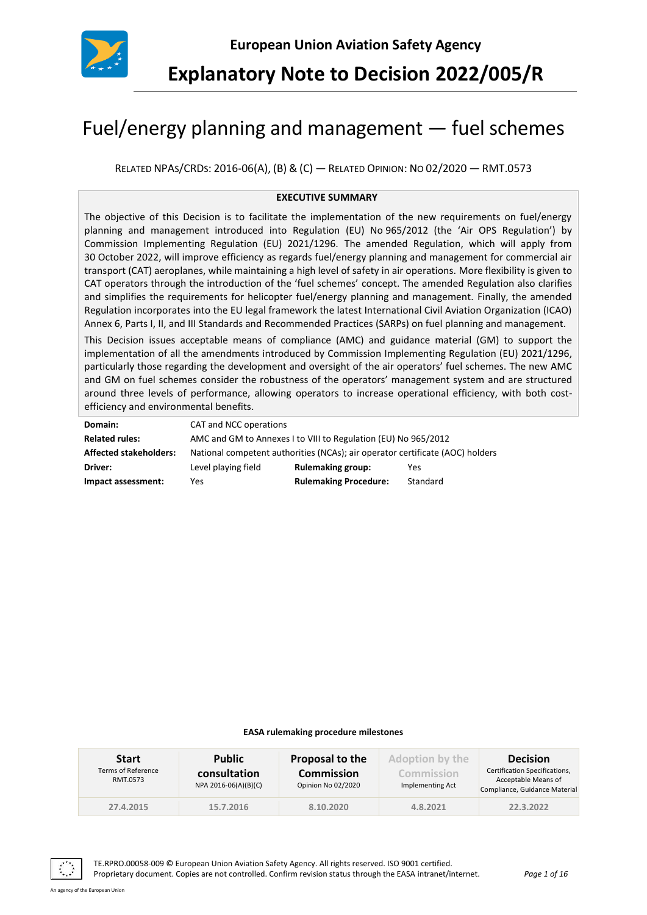

**Explanatory Note to Decision 2022/005/R**

# Fuel/energy planning and management — fuel schemes

RELATED NPAS/CRDS: 2016-06(A), (B) & (C) — RELATED OPINION: NO 02/2020 — RMT.0573

#### **EXECUTIVE SUMMARY**

The objective of this Decision is to facilitate the implementation of the new requirements on fuel/energy planning and management introduced into Regulation (EU) No 965/2012 (the 'Air OPS Regulation') by Commission Implementing Regulation (EU) 2021/1296. The amended Regulation, which will apply from 30 October 2022, will improve efficiency as regards fuel/energy planning and management for commercial air transport (CAT) aeroplanes, while maintaining a high level of safety in air operations. More flexibility is given to CAT operators through the introduction of the 'fuel schemes' concept. The amended Regulation also clarifies and simplifies the requirements for helicopter fuel/energy planning and management. Finally, the amended Regulation incorporates into the EU legal framework the latest International Civil Aviation Organization (ICAO) Annex 6, Parts I, II, and III Standards and Recommended Practices (SARPs) on fuel planning and management.

This Decision issues acceptable means of compliance (AMC) and guidance material (GM) to support the implementation of all the amendments introduced by Commission Implementing Regulation (EU) 2021/1296, particularly those regarding the development and oversight of the air operators' fuel schemes. The new AMC and GM on fuel schemes consider the robustness of the operators' management system and are structured around three levels of performance, allowing operators to increase operational efficiency, with both costefficiency and environmental benefits.

| Domain:                       | CAT and NCC operations                                                        |                              |          |  |
|-------------------------------|-------------------------------------------------------------------------------|------------------------------|----------|--|
| <b>Related rules:</b>         | AMC and GM to Annexes I to VIII to Regulation (EU) No 965/2012                |                              |          |  |
| <b>Affected stakeholders:</b> | National competent authorities (NCAs); air operator certificate (AOC) holders |                              |          |  |
| Driver:                       | Level playing field                                                           | <b>Rulemaking group:</b>     | Yes      |  |
| Impact assessment:            | Yes                                                                           | <b>Rulemaking Procedure:</b> | Standard |  |

#### **EASA rulemaking procedure milestones**

| <b>Start</b><br>Terms of Reference<br>RMT.0573 | <b>Public</b><br>consultation<br>NPA 2016-06(A)(B)(C) | Proposal to the<br><b>Commission</b><br>Opinion No 02/2020 | <b>Adoption by the</b><br>Commission<br>Implementing Act | <b>Decision</b><br>Certification Specifications,<br>Acceptable Means of<br>Compliance, Guidance Material |
|------------------------------------------------|-------------------------------------------------------|------------------------------------------------------------|----------------------------------------------------------|----------------------------------------------------------------------------------------------------------|
| 27.4.2015                                      | 15.7.2016                                             | 8.10.2020                                                  | 4.8.2021                                                 | 22.3.2022                                                                                                |



TE.RPRO.00058-009 © European Union Aviation Safety Agency. All rights reserved. ISO 9001 certified. Proprietary document. Copies are not controlled. Confirm revision status through the EASA intranet/internet. *Page 1 of 16*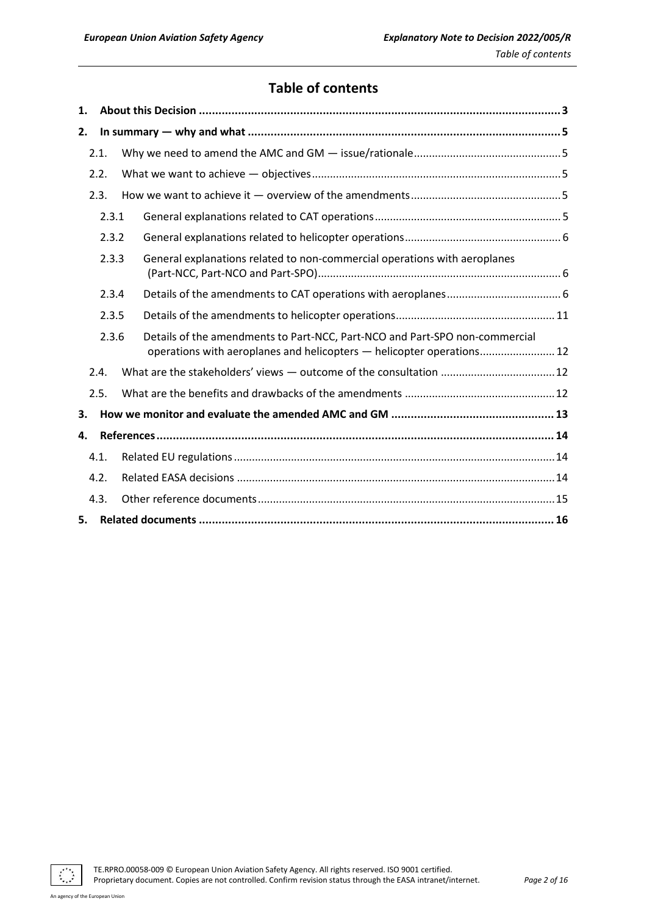# **Table of contents**

| 1. |       |  |                                                                                                                                                      |  |  |
|----|-------|--|------------------------------------------------------------------------------------------------------------------------------------------------------|--|--|
| 2. |       |  |                                                                                                                                                      |  |  |
|    | 2.1.  |  |                                                                                                                                                      |  |  |
|    | 2.2.  |  |                                                                                                                                                      |  |  |
|    | 2.3.  |  |                                                                                                                                                      |  |  |
|    | 2.3.1 |  |                                                                                                                                                      |  |  |
|    | 2.3.2 |  |                                                                                                                                                      |  |  |
|    | 2.3.3 |  | General explanations related to non-commercial operations with aeroplanes                                                                            |  |  |
|    | 2.3.4 |  |                                                                                                                                                      |  |  |
|    | 2.3.5 |  |                                                                                                                                                      |  |  |
|    | 2.3.6 |  | Details of the amendments to Part-NCC, Part-NCO and Part-SPO non-commercial<br>operations with aeroplanes and helicopters - helicopter operations 12 |  |  |
|    | 2.4.  |  |                                                                                                                                                      |  |  |
|    | 2.5.  |  |                                                                                                                                                      |  |  |
| 3. |       |  |                                                                                                                                                      |  |  |
| 4. |       |  |                                                                                                                                                      |  |  |
|    | 4.1.  |  |                                                                                                                                                      |  |  |
|    | 4.2.  |  |                                                                                                                                                      |  |  |
|    | 4.3.  |  |                                                                                                                                                      |  |  |
| 5. |       |  |                                                                                                                                                      |  |  |

TE.RPRO.00058-009 © European Union Aviation Safety Agency. All rights reserved. ISO 9001 certified. Proprietary document. Copies are not controlled. Confirm revision status through the EASA intranet/internet. *Page 2 of 16*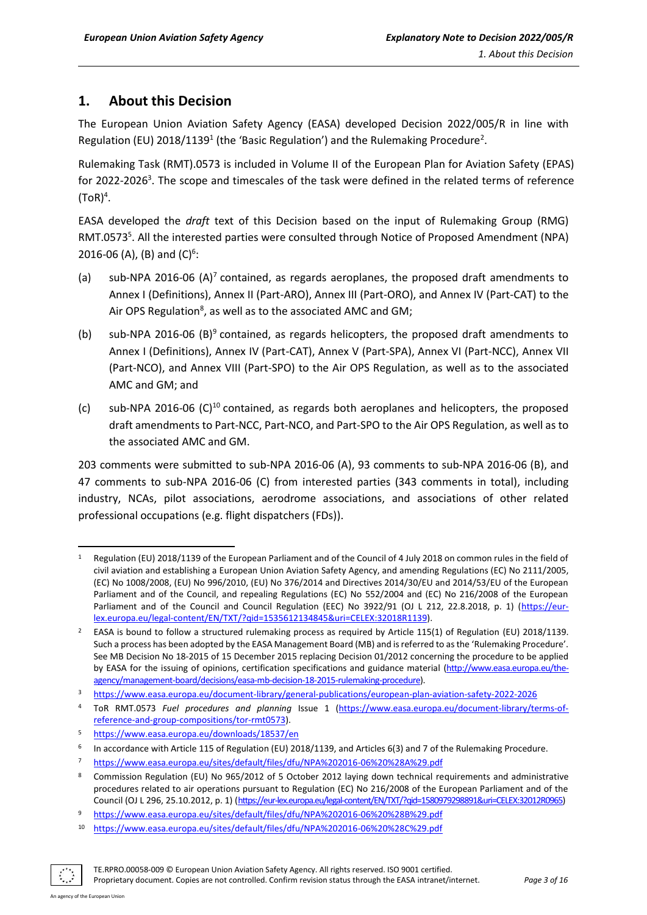# <span id="page-2-0"></span>**1. About this Decision**

The European Union Aviation Safety Agency (EASA) developed Decision 2022/005/R in line with Regulation (EU) 2018/1139<sup>1</sup> (the 'Basic Regulation') and the Rulemaking Procedure<sup>2</sup>.

Rulemaking Task (RMT).0573 is included in Volume II of the European Plan for Aviation Safety (EPAS) for 2022-2026<sup>3</sup>. The scope and timescales of the task were defined in the related terms of reference  $(TOR)^4$ .

EASA developed the *draft* text of this Decision based on the input of Rulemaking Group (RMG) RMT.0573<sup>5</sup>. All the interested parties were consulted through Notice of Proposed Amendment (NPA) 2016-06 (A), (B) and  $(C)^6$ :

- (a) sub-NPA 2016-06  $(A)^7$  contained, as regards aeroplanes, the proposed draft amendments to Annex I (Definitions), Annex II (Part-ARO), Annex III (Part-ORO), and Annex IV (Part-CAT) to the Air OPS Regulation<sup>8</sup>, as well as to the associated AMC and GM;
- (b) sub-NPA 2016-06 (B)<sup>9</sup> contained, as regards helicopters, the proposed draft amendments to Annex I (Definitions), Annex IV (Part-CAT), Annex V (Part-SPA), Annex VI (Part-NCC), Annex VII (Part-NCO), and Annex VIII (Part-SPO) to the Air OPS Regulation, as well as to the associated AMC and GM; and
- (c) sub-NPA 2016-06 (C)<sup>10</sup> contained, as regards both aeroplanes and helicopters, the proposed draft amendments to Part-NCC, Part-NCO, and Part-SPO to the Air OPS Regulation, as well as to the associated AMC and GM.

203 comments were submitted to sub-NPA 2016-06 (A), 93 comments to sub-NPA 2016-06 (B), and 47 comments to sub-NPA 2016-06 (C) from interested parties (343 comments in total), including industry, NCAs, pilot associations, aerodrome associations, and associations of other related professional occupations (e.g. flight dispatchers (FDs)).

Proprietary document. Copies are not controlled. Confirm revision status through the EASA intranet/internet. *Page 3 of 16*

<sup>1</sup> Regulation (EU) 2018/1139 of the European Parliament and of the Council of 4 July 2018 on common rules in the field of civil aviation and establishing a European Union Aviation Safety Agency, and amending Regulations (EC) No 2111/2005, (EC) No 1008/2008, (EU) No 996/2010, (EU) No 376/2014 and Directives 2014/30/EU and 2014/53/EU of the European Parliament and of the Council, and repealing Regulations (EC) No 552/2004 and (EC) No 216/2008 of the European Parliament and of the Council and Council Regulation (EEC) No 3922/91 (OJ L 212, 22.8.2018, p. 1) [\(https://eur](https://eur-lex.europa.eu/legal-content/EN/TXT/?qid=1535612134845&uri=CELEX:32018R1139)[lex.europa.eu/legal-content/EN/TXT/?qid=1535612134845&uri=CELEX:32018R1139\)](https://eur-lex.europa.eu/legal-content/EN/TXT/?qid=1535612134845&uri=CELEX:32018R1139).

<sup>2</sup> EASA is bound to follow a structured rulemaking process as required by Article 115(1) of Regulation (EU) 2018/1139. Such a process has been adopted by the EASA Management Board (MB) and is referred to as the 'Rulemaking Procedure'. See MB Decision No 18-2015 of 15 December 2015 replacing Decision 01/2012 concerning the procedure to be applied by EASA for the issuing of opinions, certification specifications and guidance material [\(http://www.easa.europa.eu/the](http://www.easa.europa.eu/the-agency/management-board/decisions/easa-mb-decision-18-2015-rulemaking-procedure)[agency/management-board/decisions/easa-mb-decision-18-2015-rulemaking-procedure\)](http://www.easa.europa.eu/the-agency/management-board/decisions/easa-mb-decision-18-2015-rulemaking-procedure).

<sup>3</sup> <https://www.easa.europa.eu/document-library/general-publications/european-plan-aviation-safety-2022-2026>

<sup>4</sup> ToR RMT.0573 *Fuel procedures and planning* Issue 1 [\(https://www.easa.europa.eu/document-library/terms-of](https://www.easa.europa.eu/document-library/terms-of-reference-and-group-compositions/tor-rmt0573)[reference-and-group-compositions/tor-rmt0573\)](https://www.easa.europa.eu/document-library/terms-of-reference-and-group-compositions/tor-rmt0573).

<sup>5</sup> <https://www.easa.europa.eu/downloads/18537/en>

<sup>6</sup> In accordance with Article 115 of Regulation (EU) 2018/1139, and Articles 6(3) and 7 of the Rulemaking Procedure.

<sup>7</sup> <https://www.easa.europa.eu/sites/default/files/dfu/NPA%202016-06%20%28A%29.pdf>

<sup>8</sup> Commission Regulation (EU) No 965/2012 of 5 October 2012 laying down technical requirements and administrative procedures related to air operations pursuant to Regulation (EC) No 216/2008 of the European Parliament and of the Council (OJ L 296, 25.10.2012, p. 1) [\(https://eur-lex.europa.eu/legal-content/EN/TXT/?qid=1580979298891&uri=CELEX:32012R0965\)](https://eur-lex.europa.eu/legal-content/EN/TXT/?qid=1580979298891&uri=CELEX:32012R0965)

<sup>9</sup> <https://www.easa.europa.eu/sites/default/files/dfu/NPA%202016-06%20%28B%29.pdf>

<sup>10</sup> <https://www.easa.europa.eu/sites/default/files/dfu/NPA%202016-06%20%28C%29.pdf>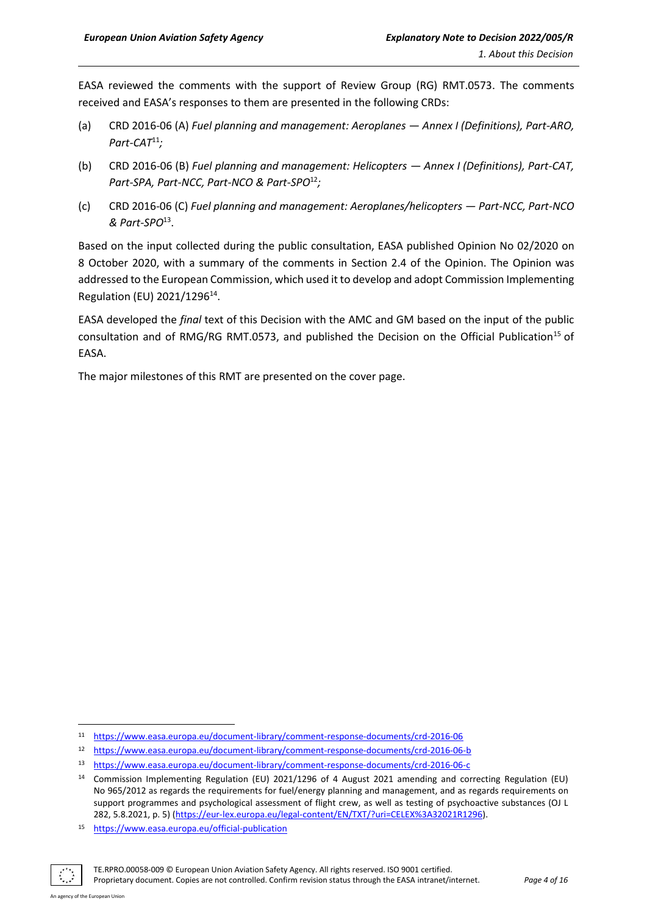EASA reviewed the comments with the support of Review Group (RG) RMT.0573. The comments received and EASA's responses to them are presented in the following CRDs:

- (a) CRD 2016-06 (A) *Fuel planning and management: Aeroplanes — Annex I (Definitions), Part-ARO, Part-CAT*<sup>11</sup>*;*
- (b) CRD 2016-06 (B) *Fuel planning and management: Helicopters — Annex I (Definitions), Part-CAT, Part-SPA, Part-NCC, Part-NCO & Part-SPO*<sup>12</sup>*;*
- (c) CRD 2016-06 (C) *Fuel planning and management: Aeroplanes/helicopters — Part-NCC, Part-NCO & Part-SPO*<sup>13</sup> .

Based on the input collected during the public consultation, EASA published Opinion No 02/2020 on 8 October 2020, with a summary of the comments in Section 2.4 of the Opinion. The Opinion was addressed to the European Commission, which used it to develop and adopt Commission Implementing Regulation (EU) 2021/1296<sup>14</sup>.

EASA developed the *final* text of this Decision with the AMC and GM based on the input of the public consultation and of RMG/RG RMT.0573, and published the Decision on the Official Publication<sup>15</sup> of EASA.

The major milestones of this RMT are presented on the cover page.

Proprietary document. Copies are not controlled. Confirm revision status through the EASA intranet/internet. *Page 4 of 16*

<sup>11</sup> <https://www.easa.europa.eu/document-library/comment-response-documents/crd-2016-06>

<sup>12</sup> <https://www.easa.europa.eu/document-library/comment-response-documents/crd-2016-06-b>

<sup>13</sup> <https://www.easa.europa.eu/document-library/comment-response-documents/crd-2016-06-c>

<sup>14</sup> Commission Implementing Regulation (EU) 2021/1296 of 4 August 2021 amending and correcting Regulation (EU) No 965/2012 as regards the requirements for fuel/energy planning and management, and as regards requirements on support programmes and psychological assessment of flight crew, as well as testing of psychoactive substances (OJ L 282, 5.8.2021, p. 5) [\(https://eur-lex.europa.eu/legal-content/EN/TXT/?uri=CELEX%3A32021R1296\)](https://eur-lex.europa.eu/legal-content/EN/TXT/?uri=CELEX%3A32021R1296).

<sup>15</sup> <https://www.easa.europa.eu/official-publication>

TE.RPRO.00058-009 © European Union Aviation Safety Agency. All rights reserved. ISO 9001 certified.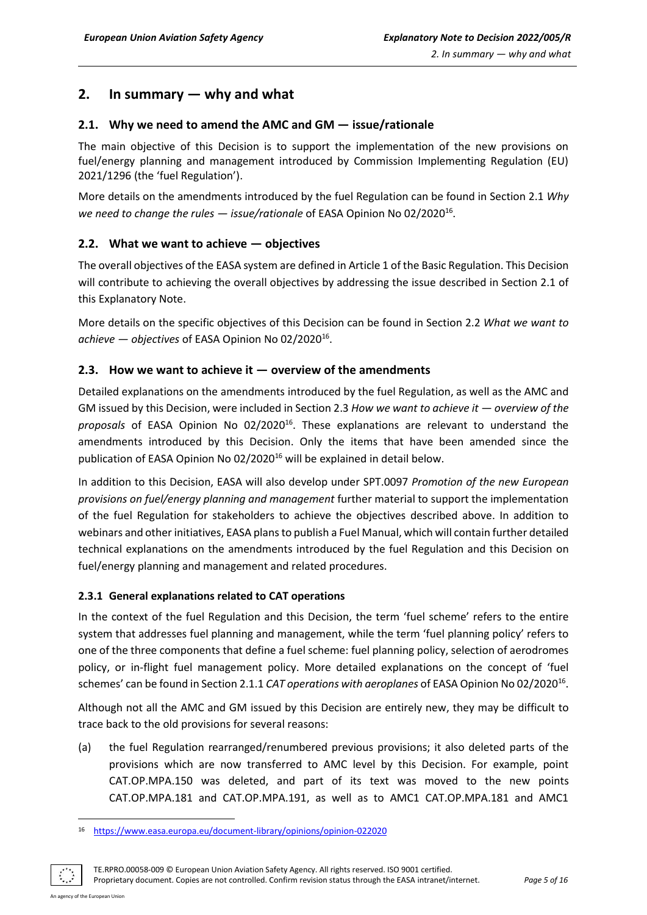# <span id="page-4-0"></span>**2. In summary — why and what**

## <span id="page-4-1"></span>**2.1. Why we need to amend the AMC and GM — issue/rationale**

The main objective of this Decision is to support the implementation of the new provisions on fuel/energy planning and management introduced by Commission Implementing Regulation (EU) 2021/1296 (the 'fuel Regulation').

More details on the amendments introduced by the fuel Regulation can be found in Section 2.1 *Why*  we need to change the rules — *issue/rationale* of EASA Opinion No 02/2020<sup>16</sup>.

## <span id="page-4-2"></span>**2.2. What we want to achieve — objectives**

The overall objectives of the EASA system are defined in Article 1 of the Basic Regulation. This Decision will contribute to achieving the overall objectives by addressing the issue described in Section 2.1 of this Explanatory Note.

More details on the specific objectives of this Decision can be found in Section 2.2 *What we want to achieve — objectives* of EASA Opinion No 02/2020<sup>16</sup> .

#### <span id="page-4-3"></span>**2.3. How we want to achieve it — overview of the amendments**

Detailed explanations on the amendments introduced by the fuel Regulation, as well as the AMC and GM issued by this Decision, were included in Section 2.3 *How we want to achieve it — overview of the*  proposals of EASA Opinion No 02/2020<sup>16</sup>. These explanations are relevant to understand the amendments introduced by this Decision. Only the items that have been amended since the publication of EASA Opinion No 02/2020<sup>16</sup> will be explained in detail below.

In addition to this Decision, EASA will also develop under SPT.0097 *Promotion of the new European provisions on fuel/energy planning and management* further material to support the implementation of the fuel Regulation for stakeholders to achieve the objectives described above. In addition to webinars and other initiatives, EASA plans to publish a Fuel Manual, which will contain further detailed technical explanations on the amendments introduced by the fuel Regulation and this Decision on fuel/energy planning and management and related procedures.

#### <span id="page-4-4"></span>**2.3.1 General explanations related to CAT operations**

In the context of the fuel Regulation and this Decision, the term 'fuel scheme' refers to the entire system that addresses fuel planning and management, while the term 'fuel planning policy' refers to one of the three components that define a fuel scheme: fuel planning policy, selection of aerodromes policy, or in-flight fuel management policy. More detailed explanations on the concept of 'fuel schemes' can be found in Section 2.1.1 *CAT operations with aeroplanes* of EASA Opinion No 02/2020<sup>16</sup>.

Although not all the AMC and GM issued by this Decision are entirely new, they may be difficult to trace back to the old provisions for several reasons:

(a) the fuel Regulation rearranged/renumbered previous provisions; it also deleted parts of the provisions which are now transferred to AMC level by this Decision. For example, point CAT.OP.MPA.150 was deleted, and part of its text was moved to the new points CAT.OP.MPA.181 and CAT.OP.MPA.191, as well as to AMC1 CAT.OP.MPA.181 and AMC1

TE.RPRO.00058-009 © European Union Aviation Safety Agency. All rights reserved. ISO 9001 certified.

Proprietary document. Copies are not controlled. Confirm revision status through the EASA intranet/internet. *Page 5 of 16*

<sup>16</sup> <https://www.easa.europa.eu/document-library/opinions/opinion-022020>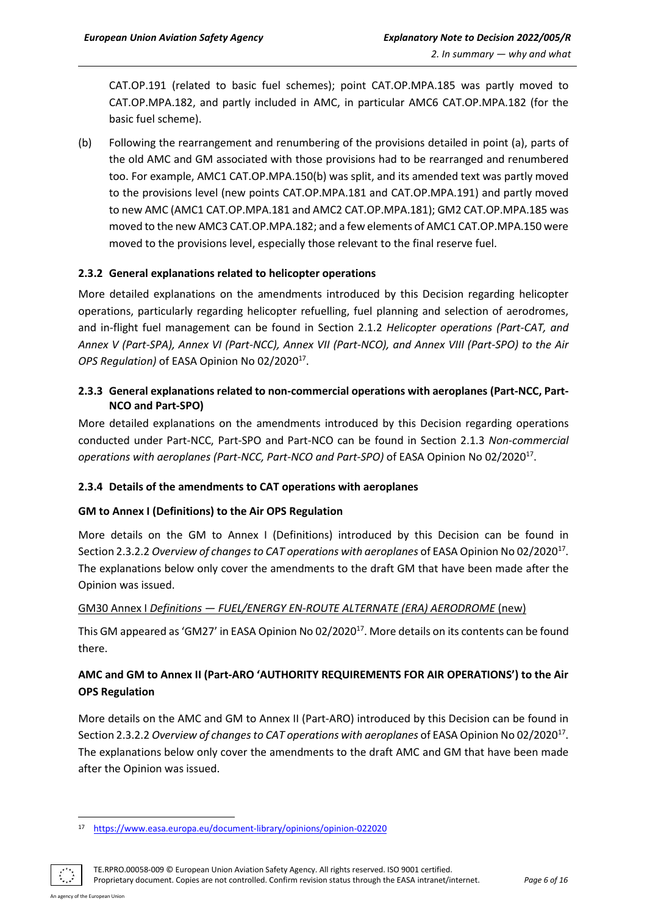CAT.OP.191 (related to basic fuel schemes); point CAT.OP.MPA.185 was partly moved to CAT.OP.MPA.182, and partly included in AMC, in particular AMC6 CAT.OP.MPA.182 (for the basic fuel scheme).

(b) Following the rearrangement and renumbering of the provisions detailed in point (a), parts of the old AMC and GM associated with those provisions had to be rearranged and renumbered too. For example, AMC1 CAT.OP.MPA.150(b) was split, and its amended text was partly moved to the provisions level (new points CAT.OP.MPA.181 and CAT.OP.MPA.191) and partly moved to new AMC (AMC1 CAT.OP.MPA.181 and AMC2 CAT.OP.MPA.181); GM2 CAT.OP.MPA.185 was moved to the new AMC3 CAT.OP.MPA.182; and a few elements of AMC1 CAT.OP.MPA.150 were moved to the provisions level, especially those relevant to the final reserve fuel.

#### <span id="page-5-0"></span>**2.3.2 General explanations related to helicopter operations**

More detailed explanations on the amendments introduced by this Decision regarding helicopter operations, particularly regarding helicopter refuelling, fuel planning and selection of aerodromes, and in-flight fuel management can be found in Section 2.1.2 *Helicopter operations (Part-CAT, and Annex V (Part-SPA), Annex VI (Part-NCC), Annex VII (Part-NCO), and Annex VIII (Part-SPO) to the Air*  OPS Regulation) of EASA Opinion No 02/2020<sup>17</sup>.

#### <span id="page-5-1"></span>**2.3.3 General explanations related to non-commercial operations with aeroplanes (Part-NCC, Part-NCO and Part-SPO)**

More detailed explanations on the amendments introduced by this Decision regarding operations conducted under Part-NCC, Part-SPO and Part-NCO can be found in Section 2.1.3 *Non-commercial operations with aeroplanes (Part-NCC, Part-NCO and Part-SPO)* of EASA Opinion No 02/2020<sup>17</sup> .

#### <span id="page-5-2"></span>**2.3.4 Details of the amendments to CAT operations with aeroplanes**

#### **GM to Annex I (Definitions) to the Air OPS Regulation**

More details on the GM to Annex I (Definitions) introduced by this Decision can be found in Section 2.3.2.2 Overview of changes to CAT operations with aeroplanes of EASA Opinion No 02/2020<sup>17</sup>. The explanations below only cover the amendments to the draft GM that have been made after the Opinion was issued.

#### GM30 Annex I *Definitions — FUEL/ENERGY EN-ROUTE ALTERNATE (ERA) AERODROME* (new)

This GM appeared as 'GM27' in EASA Opinion No 02/2020<sup>17</sup>. More details on its contents can be found there.

## **AMC and GM to Annex II (Part-ARO 'AUTHORITY REQUIREMENTS FOR AIR OPERATIONS') to the Air OPS Regulation**

More details on the AMC and GM to Annex II (Part-ARO) introduced by this Decision can be found in Section 2.3.2.2 Overview of changes to CAT operations with aeroplanes of EASA Opinion No 02/2020<sup>17</sup>. The explanations below only cover the amendments to the draft AMC and GM that have been made after the Opinion was issued.

TE.RPRO.00058-009 © European Union Aviation Safety Agency. All rights reserved. ISO 9001 certified.

Proprietary document. Copies are not controlled. Confirm revision status through the EASA intranet/internet. *Page 6 of 16*

<sup>17</sup> <https://www.easa.europa.eu/document-library/opinions/opinion-022020>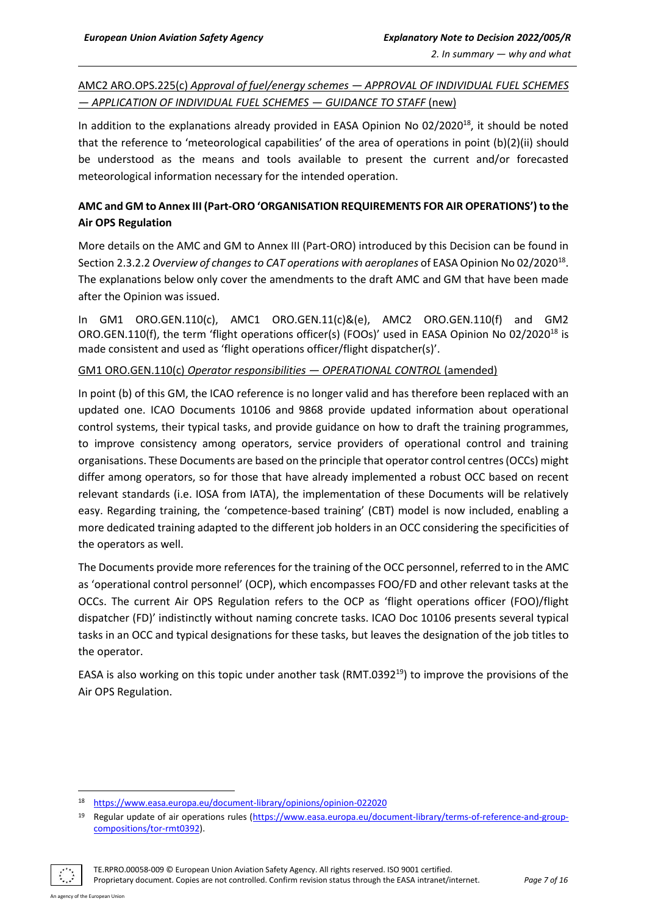AMC2 ARO.OPS.225(c) *Approval of fuel/energy schemes — APPROVAL OF INDIVIDUAL FUEL SCHEMES — APPLICATION OF INDIVIDUAL FUEL SCHEMES — GUIDANCE TO STAFF* (new)

In addition to the explanations already provided in EASA Opinion No 02/2020<sup>18</sup>, it should be noted that the reference to 'meteorological capabilities' of the area of operations in point (b)(2)(ii) should be understood as the means and tools available to present the current and/or forecasted meteorological information necessary for the intended operation.

## **AMC and GM to Annex III (Part-ORO 'ORGANISATION REQUIREMENTS FOR AIR OPERATIONS') to the Air OPS Regulation**

More details on the AMC and GM to Annex III (Part-ORO) introduced by this Decision can be found in Section 2.3.2.2 Overview of changes to CAT operations with aeroplanes of EASA Opinion No 02/2020<sup>18</sup>. The explanations below only cover the amendments to the draft AMC and GM that have been made after the Opinion was issued.

In GM1 ORO.GEN.110(c), AMC1 ORO.GEN.11(c)&(e), AMC2 ORO.GEN.110(f) and GM2 ORO.GEN.110(f), the term 'flight operations officer(s) (FOOs)' used in EASA Opinion No 02/2020<sup>18</sup> is made consistent and used as 'flight operations officer/flight dispatcher(s)'.

#### GM1 ORO.GEN.110(c) *Operator responsibilities — OPERATIONAL CONTROL* (amended)

In point (b) of this GM, the ICAO reference is no longer valid and has therefore been replaced with an updated one. ICAO Documents 10106 and 9868 provide updated information about operational control systems, their typical tasks, and provide guidance on how to draft the training programmes, to improve consistency among operators, service providers of operational control and training organisations. These Documents are based on the principle that operator control centres(OCCs) might differ among operators, so for those that have already implemented a robust OCC based on recent relevant standards (i.e. IOSA from IATA), the implementation of these Documents will be relatively easy. Regarding training, the 'competence-based training' (CBT) model is now included, enabling a more dedicated training adapted to the different job holders in an OCC considering the specificities of the operators as well.

The Documents provide more references for the training of the OCC personnel, referred to in the AMC as 'operational control personnel' (OCP), which encompasses FOO/FD and other relevant tasks at the OCCs. The current Air OPS Regulation refers to the OCP as 'flight operations officer (FOO)/flight dispatcher (FD)' indistinctly without naming concrete tasks. ICAO Doc 10106 presents several typical tasks in an OCC and typical designations for these tasks, but leaves the designation of the job titles to the operator.

EASA is also working on this topic under another task (RMT.0392<sup>19</sup>) to improve the provisions of the Air OPS Regulation.

<sup>19</sup> Regular update of air operations rules [\(https://www.easa.europa.eu/document-library/terms-of-reference-and-group](https://www.easa.europa.eu/document-library/terms-of-reference-and-group-compositions/tor-rmt0392)[compositions/tor-rmt0392\)](https://www.easa.europa.eu/document-library/terms-of-reference-and-group-compositions/tor-rmt0392).



TE.RPRO.00058-009 © European Union Aviation Safety Agency. All rights reserved. ISO 9001 certified.

Proprietary document. Copies are not controlled. Confirm revision status through the EASA intranet/internet. *Page 7 of 16*

<sup>18</sup> <https://www.easa.europa.eu/document-library/opinions/opinion-022020>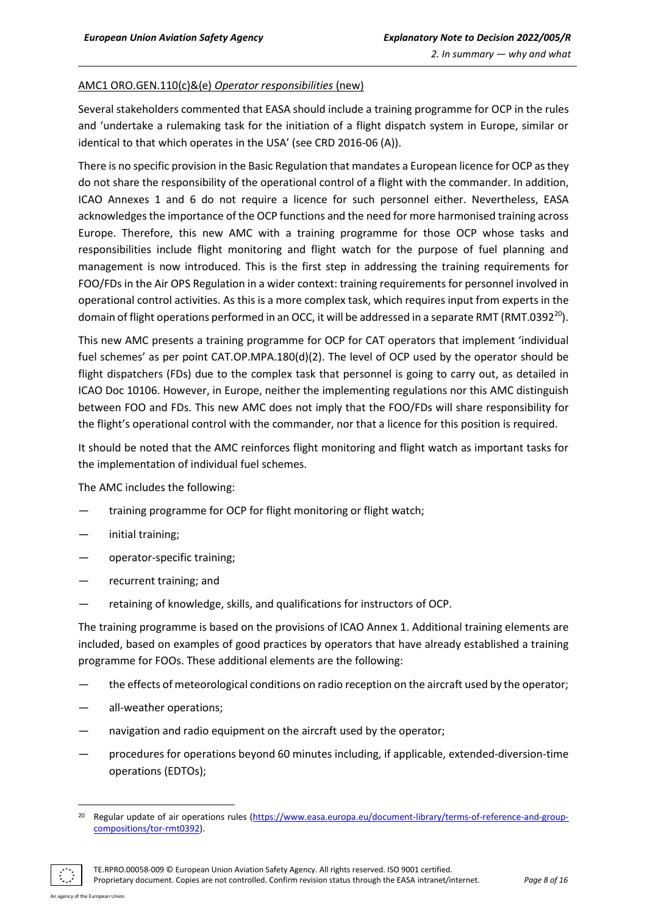#### AMC1 ORO.GEN.110(c)&(e) *Operator responsibilities* (new)

Several stakeholders commented that EASA should include a training programme for OCP in the rules and 'undertake a rulemaking task for the initiation of a flight dispatch system in Europe, similar or identical to that which operates in the USA' (see CRD 2016-06 (A)).

There is no specific provision in the Basic Regulation that mandates a European licence for OCP as they do not share the responsibility of the operational control of a flight with the commander. In addition, ICAO Annexes 1 and 6 do not require a licence for such personnel either. Nevertheless, EASA acknowledges the importance of the OCP functions and the need for more harmonised training across Europe. Therefore, this new AMC with a training programme for those OCP whose tasks and responsibilities include flight monitoring and flight watch for the purpose of fuel planning and management is now introduced. This is the first step in addressing the training requirements for FOO/FDs in the Air OPS Regulation in a wider context: training requirements for personnel involved in operational control activities. As this is a more complex task, which requires input from experts in the domain of flight operations performed in an OCC, it will be addressed in a separate RMT (RMT.0392<sup>20</sup>).

This new AMC presents a training programme for OCP for CAT operators that implement 'individual fuel schemes' as per point CAT.OP.MPA.180(d)(2). The level of OCP used by the operator should be flight dispatchers (FDs) due to the complex task that personnel is going to carry out, as detailed in ICAO Doc 10106. However, in Europe, neither the implementing regulations nor this AMC distinguish between FOO and FDs. This new AMC does not imply that the FOO/FDs will share responsibility for the flight's operational control with the commander, nor that a licence for this position is required.

It should be noted that the AMC reinforces flight monitoring and flight watch as important tasks for the implementation of individual fuel schemes.

The AMC includes the following:

- training programme for OCP for flight monitoring or flight watch;
- initial training;
- operator-specific training;
- recurrent training; and
- retaining of knowledge, skills, and qualifications for instructors of OCP.

The training programme is based on the provisions of ICAO Annex 1. Additional training elements are included, based on examples of good practices by operators that have already established a training programme for FOOs. These additional elements are the following:

- the effects of meteorological conditions on radio reception on the aircraft used by the operator;
- all-weather operations;
- havigation and radio equipment on the aircraft used by the operator;
- procedures for operations beyond 60 minutes including, if applicable, extended-diversion-time operations (EDTOs);

TE.RPRO.00058-009 © European Union Aviation Safety Agency. All rights reserved. ISO 9001 certified.

Proprietary document. Copies are not controlled. Confirm revision status through the EASA intranet/internet. *Page 8 of 16*

<sup>&</sup>lt;sup>20</sup> Regular update of air operations rules [\(https://www.easa.europa.eu/document-library/terms-of-reference-and-group](https://www.easa.europa.eu/document-library/terms-of-reference-and-group-compositions/tor-rmt0392)[compositions/tor-rmt0392\)](https://www.easa.europa.eu/document-library/terms-of-reference-and-group-compositions/tor-rmt0392).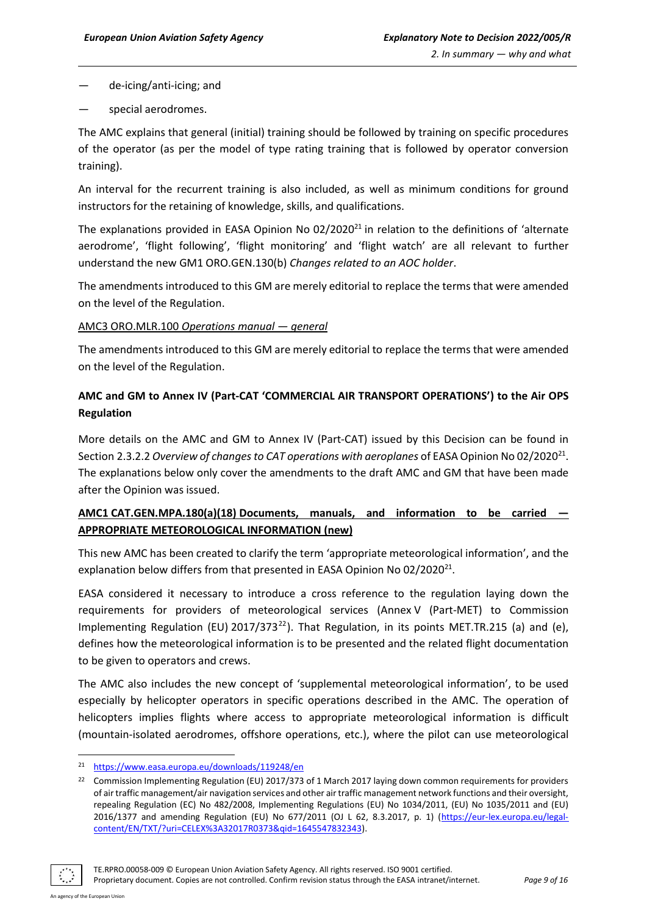- de-icing/anti-icing; and
- special aerodromes.

The AMC explains that general (initial) training should be followed by training on specific procedures of the operator (as per the model of type rating training that is followed by operator conversion training).

An interval for the recurrent training is also included, as well as minimum conditions for ground instructors for the retaining of knowledge, skills, and qualifications.

The explanations provided in EASA Opinion No 02/2020<sup>21</sup> in relation to the definitions of 'alternate aerodrome', 'flight following', 'flight monitoring' and 'flight watch' are all relevant to further understand the new GM1 ORO.GEN.130(b) *Changes related to an AOC holder*.

The amendments introduced to this GM are merely editorial to replace the terms that were amended on the level of the Regulation.

#### AMC3 ORO.MLR.100 *Operations manual — general*

The amendments introduced to this GM are merely editorial to replace the terms that were amended on the level of the Regulation.

## **AMC and GM to Annex IV (Part-CAT 'COMMERCIAL AIR TRANSPORT OPERATIONS') to the Air OPS Regulation**

More details on the AMC and GM to Annex IV (Part-CAT) issued by this Decision can be found in Section 2.3.2.2 Overview of changes to CAT operations with aeroplanes of EASA Opinion No 02/2020<sup>21</sup>. The explanations below only cover the amendments to the draft AMC and GM that have been made after the Opinion was issued.

## **AMC1 CAT.GEN.MPA.180(a)(18) Documents, manuals, and information to be carried — APPROPRIATE METEOROLOGICAL INFORMATION (new)**

This new AMC has been created to clarify the term 'appropriate meteorological information', and the explanation below differs from that presented in EASA Opinion No 02/2020 $^{21}$ .

EASA considered it necessary to introduce a cross reference to the regulation laying down the requirements for providers of meteorological services (Annex V (Part-MET) to Commission Implementing Regulation (EU) 2017/373<sup>22</sup>). That Regulation, in its points MET.TR.215 (a) and (e), defines how the meteorological information is to be presented and the related flight documentation to be given to operators and crews.

The AMC also includes the new concept of 'supplemental meteorological information', to be used especially by helicopter operators in specific operations described in the AMC. The operation of helicopters implies flights where access to appropriate meteorological information is difficult (mountain-isolated aerodromes, offshore operations, etc.), where the pilot can use meteorological

<sup>&</sup>lt;sup>22</sup> Commission Implementing Regulation (EU) 2017/373 of 1 March 2017 laying down common requirements for providers of air traffic management/air navigation services and other air traffic management network functions and their oversight, repealing Regulation (EC) No 482/2008, Implementing Regulations (EU) No 1034/2011, (EU) No 1035/2011 and (EU) 2016/1377 and amending Regulation (EU) No 677/2011 (OJ L 62, 8.3.2017, p. 1) [\(https://eur-lex.europa.eu/legal](https://eur-lex.europa.eu/legal-content/EN/TXT/?uri=CELEX%3A32017R0373&qid=1645547832343)[content/EN/TXT/?uri=CELEX%3A32017R0373&qid=1645547832343\)](https://eur-lex.europa.eu/legal-content/EN/TXT/?uri=CELEX%3A32017R0373&qid=1645547832343).



Proprietary document. Copies are not controlled. Confirm revision status through the EASA intranet/internet. *Page 9 of 16*

<sup>21</sup> <https://www.easa.europa.eu/downloads/119248/en>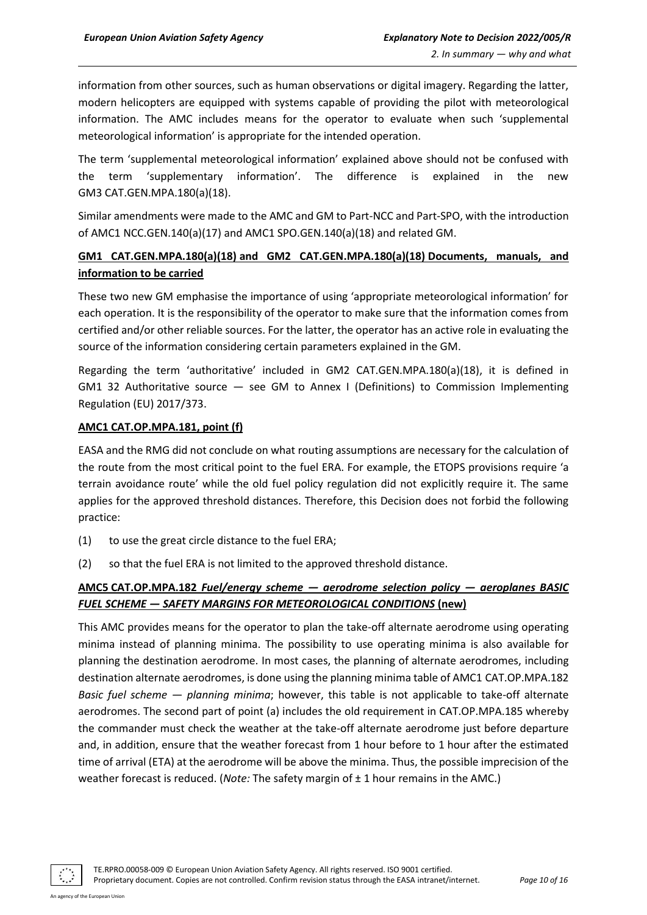information from other sources, such as human observations or digital imagery. Regarding the latter, modern helicopters are equipped with systems capable of providing the pilot with meteorological information. The AMC includes means for the operator to evaluate when such 'supplemental meteorological information' is appropriate for the intended operation.

The term 'supplemental meteorological information' explained above should not be confused with the term 'supplementary information'. The difference is explained in the new GM3 CAT.GEN.MPA.180(a)(18).

Similar amendments were made to the AMC and GM to Part-NCC and Part-SPO, with the introduction of AMC1 NCC.GEN.140(a)(17) and AMC1 SPO.GEN.140(a)(18) and related GM.

## **GM1 CAT.GEN.MPA.180(a)(18) and GM2 CAT.GEN.MPA.180(a)(18) Documents, manuals, and information to be carried**

These two new GM emphasise the importance of using 'appropriate meteorological information' for each operation. It is the responsibility of the operator to make sure that the information comes from certified and/or other reliable sources. For the latter, the operator has an active role in evaluating the source of the information considering certain parameters explained in the GM.

Regarding the term 'authoritative' included in GM2 CAT.GEN.MPA.180(a)(18), it is defined in GM1 32 Authoritative source — see GM to Annex I (Definitions) to Commission Implementing Regulation (EU) 2017/373.

#### **AMC1 CAT.OP.MPA.181, point (f)**

EASA and the RMG did not conclude on what routing assumptions are necessary for the calculation of the route from the most critical point to the fuel ERA. For example, the ETOPS provisions require 'a terrain avoidance route' while the old fuel policy regulation did not explicitly require it. The same applies for the approved threshold distances. Therefore, this Decision does not forbid the following practice:

- (1) to use the great circle distance to the fuel ERA;
- (2) so that the fuel ERA is not limited to the approved threshold distance.

## **AMC5 CAT.OP.MPA.182** *Fuel/energy scheme — aerodrome selection policy — aeroplanes BASIC FUEL SCHEME — SAFETY MARGINS FOR METEOROLOGICAL CONDITIONS* **(new)**

This AMC provides means for the operator to plan the take-off alternate aerodrome using operating minima instead of planning minima. The possibility to use operating minima is also available for planning the destination aerodrome. In most cases, the planning of alternate aerodromes, including destination alternate aerodromes, is done using the planning minima table of AMC1 CAT.OP.MPA.182 *Basic fuel scheme — planning minima*; however, this table is not applicable to take-off alternate aerodromes. The second part of point (a) includes the old requirement in CAT.OP.MPA.185 whereby the commander must check the weather at the take-off alternate aerodrome just before departure and, in addition, ensure that the weather forecast from 1 hour before to 1 hour after the estimated time of arrival (ETA) at the aerodrome will be above the minima. Thus, the possible imprecision of the weather forecast is reduced. (*Note:* The safety margin of  $\pm$  1 hour remains in the AMC.)

TE.RPRO.00058-009 © European Union Aviation Safety Agency. All rights reserved. ISO 9001 certified.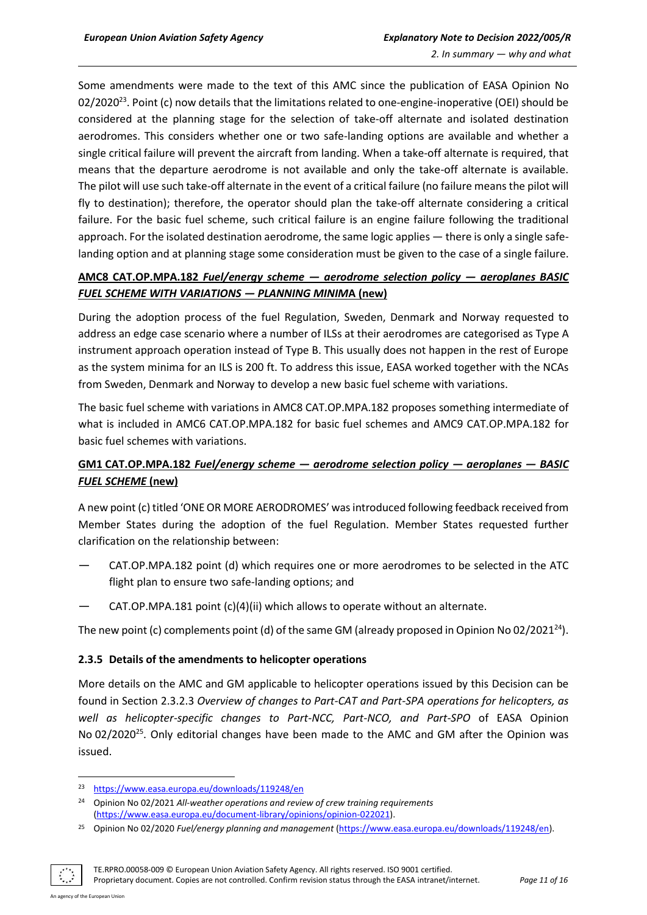Some amendments were made to the text of this AMC since the publication of EASA Opinion No 02/2020<sup>23</sup>. Point (c) now details that the limitations related to one-engine-inoperative (OEI) should be considered at the planning stage for the selection of take-off alternate and isolated destination aerodromes. This considers whether one or two safe-landing options are available and whether a single critical failure will prevent the aircraft from landing. When a take-off alternate is required, that means that the departure aerodrome is not available and only the take-off alternate is available. The pilot will use such take-off alternate in the event of a critical failure (no failure means the pilot will fly to destination); therefore, the operator should plan the take-off alternate considering a critical failure. For the basic fuel scheme, such critical failure is an engine failure following the traditional approach. For the isolated destination aerodrome, the same logic applies — there is only a single safelanding option and at planning stage some consideration must be given to the case of a single failure.

## **AMC8 CAT.OP.MPA.182** *Fuel/energy scheme — aerodrome selection policy — aeroplanes BASIC FUEL SCHEME WITH VARIATIONS — PLANNING MINIM***A (new)**

During the adoption process of the fuel Regulation, Sweden, Denmark and Norway requested to address an edge case scenario where a number of ILSs at their aerodromes are categorised as Type A instrument approach operation instead of Type B. This usually does not happen in the rest of Europe as the system minima for an ILS is 200 ft. To address this issue, EASA worked together with the NCAs from Sweden, Denmark and Norway to develop a new basic fuel scheme with variations.

The basic fuel scheme with variations in AMC8 CAT.OP.MPA.182 proposes something intermediate of what is included in AMC6 CAT.OP.MPA.182 for basic fuel schemes and AMC9 CAT.OP.MPA.182 for basic fuel schemes with variations.

## **GM1 CAT.OP.MPA.182** *Fuel/energy scheme — aerodrome selection policy — aeroplanes — BASIC FUEL SCHEME* **(new)**

A new point (c) titled 'ONE OR MORE AERODROMES' was introduced following feedback received from Member States during the adoption of the fuel Regulation. Member States requested further clarification on the relationship between:

- CAT.OP.MPA.182 point (d) which requires one or more aerodromes to be selected in the ATC flight plan to ensure two safe-landing options; and
- CAT.OP.MPA.181 point (c)(4)(ii) which allows to operate without an alternate.

The new point (c) complements point (d) of the same GM (already proposed in Opinion No 02/2021<sup>24</sup>).

#### <span id="page-10-0"></span>**2.3.5 Details of the amendments to helicopter operations**

More details on the AMC and GM applicable to helicopter operations issued by this Decision can be found in Section 2.3.2.3 *Overview of changes to Part-CAT and Part-SPA operations for helicopters, as well as helicopter-specific changes to Part-NCC, Part-NCO, and Part-SPO* of EASA Opinion No 02/2020<sup>25</sup>. Only editorial changes have been made to the AMC and GM after the Opinion was issued.

TE.RPRO.00058-009 © European Union Aviation Safety Agency. All rights reserved. ISO 9001 certified.

Proprietary document. Copies are not controlled. Confirm revision status through the EASA intranet/internet. *Page 11 of 16*

<sup>23</sup> <https://www.easa.europa.eu/downloads/119248/en>

<sup>24</sup> Opinion No 02/2021 *All-weather operations and review of crew training requirements* [\(https://www.easa.europa.eu/document-library/opinions/opinion-022021\)](https://www.easa.europa.eu/document-library/opinions/opinion-022021).

<sup>25</sup> Opinion No 02/2020 *Fuel/energy planning and management* [\(https://www.easa.europa.eu/downloads/119248/en\)](https://www.easa.europa.eu/downloads/119248/en).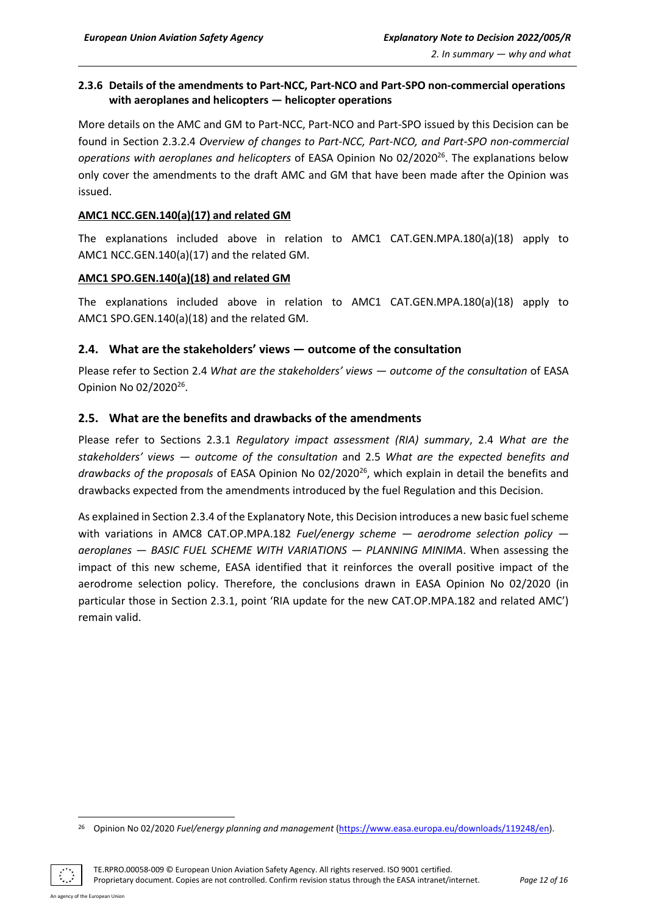#### <span id="page-11-0"></span>**2.3.6 Details of the amendments to Part-NCC, Part-NCO and Part-SPO non-commercial operations with aeroplanes and helicopters — helicopter operations**

More details on the AMC and GM to Part-NCC, Part-NCO and Part-SPO issued by this Decision can be found in Section 2.3.2.4 *Overview of changes to Part-NCC, Part-NCO, and Part-SPO non-commercial operations with aeroplanes and helicopters* of EASA Opinion No 02/2020<sup>26</sup>. The explanations below only cover the amendments to the draft AMC and GM that have been made after the Opinion was issued.

#### **AMC1 NCC.GEN.140(a)(17) and related GM**

The explanations included above in relation to AMC1 CAT.GEN.MPA.180(a)(18) apply to AMC1 NCC.GEN.140(a)(17) and the related GM.

#### **AMC1 SPO.GEN.140(a)(18) and related GM**

The explanations included above in relation to AMC1 CAT.GEN.MPA.180(a)(18) apply to AMC1 SPO.GEN.140(a)(18) and the related GM.

#### <span id="page-11-1"></span>**2.4. What are the stakeholders' views — outcome of the consultation**

Please refer to Section 2.4 *What are the stakeholders' views — outcome of the consultation* of EASA Opinion No 02/2020<sup>26</sup>.

#### <span id="page-11-2"></span>**2.5. What are the benefits and drawbacks of the amendments**

Please refer to Sections 2.3.1 *Regulatory impact assessment (RIA) summary*, 2.4 *What are the stakeholders' views — outcome of the consultation* and 2.5 *What are the expected benefits and*  drawbacks of the proposals of EASA Opinion No 02/2020<sup>26</sup>, which explain in detail the benefits and drawbacks expected from the amendments introduced by the fuel Regulation and this Decision.

As explained in Section 2.3.4 of the Explanatory Note, this Decision introduces a new basic fuel scheme with variations in AMC8 CAT.OP.MPA.182 *Fuel/energy scheme — aerodrome selection policy aeroplanes — BASIC FUEL SCHEME WITH VARIATIONS — PLANNING MINIMA*. When assessing the impact of this new scheme, EASA identified that it reinforces the overall positive impact of the aerodrome selection policy. Therefore, the conclusions drawn in EASA Opinion No 02/2020 (in particular those in Section 2.3.1, point 'RIA update for the new CAT.OP.MPA.182 and related AMC') remain valid.

TE.RPRO.00058-009 © European Union Aviation Safety Agency. All rights reserved. ISO 9001 certified. Proprietary document. Copies are not controlled. Confirm revision status through the EASA intranet/internet. *Page 12 of 16*

<sup>26</sup> Opinion No 02/2020 *Fuel/energy planning and management* [\(https://www.easa.europa.eu/downloads/119248/en\)](https://www.easa.europa.eu/downloads/119248/en).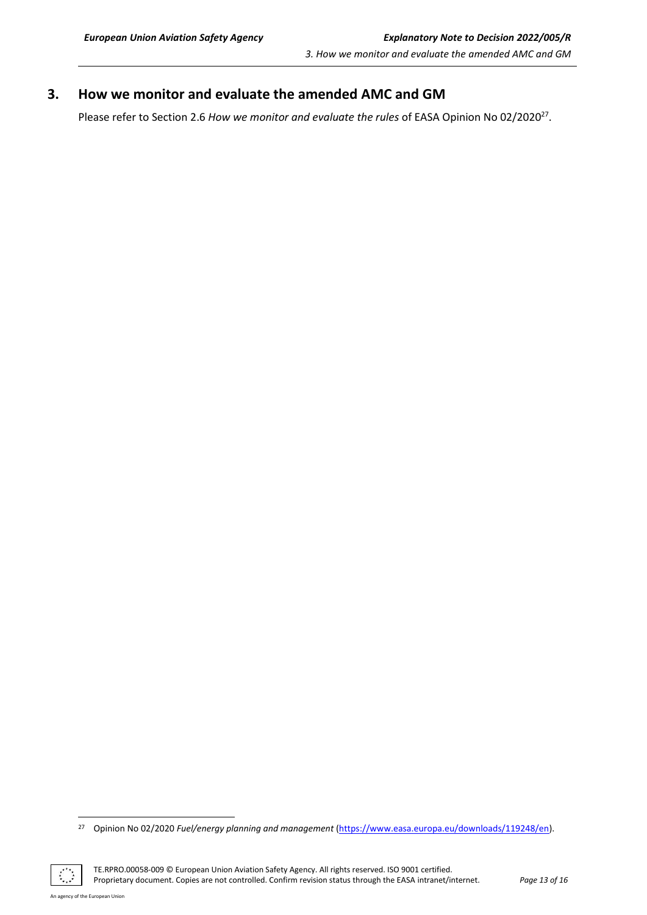# <span id="page-12-0"></span>**3. How we monitor and evaluate the amended AMC and GM**

Please refer to Section 2.6 How we monitor and evaluate the rules of EASA Opinion No 02/2020<sup>27</sup>.

TE.RPRO.00058-009 © European Union Aviation Safety Agency. All rights reserved. ISO 9001 certified. Proprietary document. Copies are not controlled. Confirm revision status through the EASA intranet/internet. *Page 13 of 16*

 $\mathbb{C}$ 

<sup>27</sup> Opinion No 02/2020 *Fuel/energy planning and management* [\(https://www.easa.europa.eu/downloads/119248/en\)](https://www.easa.europa.eu/downloads/119248/en).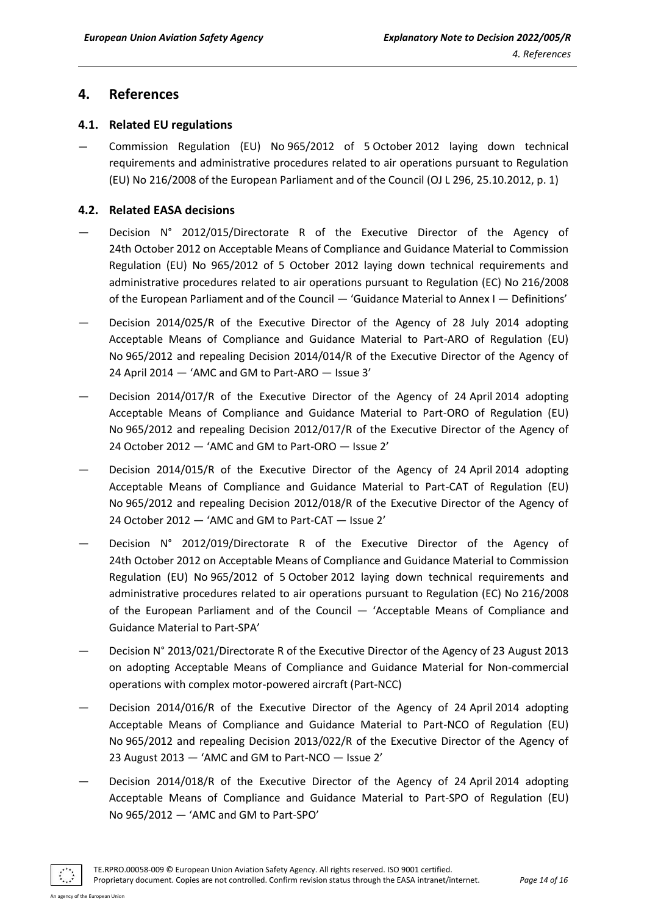## <span id="page-13-0"></span>**4. References**

#### <span id="page-13-1"></span>**4.1. Related EU regulations**

— Commission Regulation (EU) No 965/2012 of 5 October 2012 laying down technical requirements and administrative procedures related to air operations pursuant to Regulation (EU) No 216/2008 of the European Parliament and of the Council (OJ L 296, 25.10.2012, p. 1)

#### <span id="page-13-2"></span>**4.2. Related EASA decisions**

- Decision N° 2012/015/Directorate R of the Executive Director of the Agency of 24th October 2012 on Acceptable Means of Compliance and Guidance Material to Commission Regulation (EU) No 965/2012 of 5 October 2012 laying down technical requirements and administrative procedures related to air operations pursuant to Regulation (EC) No 216/2008 of the European Parliament and of the Council — 'Guidance Material to Annex I — Definitions'
- Decision 2014/025/R of the Executive Director of the Agency of 28 July 2014 adopting Acceptable Means of Compliance and Guidance Material to Part-ARO of Regulation (EU) No 965/2012 and repealing Decision 2014/014/R of the Executive Director of the Agency of 24 April 2014 — 'AMC and GM to Part-ARO — Issue 3'
- Decision 2014/017/R of the Executive Director of the Agency of 24 April 2014 adopting Acceptable Means of Compliance and Guidance Material to Part-ORO of Regulation (EU) No 965/2012 and repealing Decision 2012/017/R of the Executive Director of the Agency of 24 October 2012 — 'AMC and GM to Part-ORO — Issue 2'
- Decision 2014/015/R of the Executive Director of the Agency of 24 April 2014 adopting Acceptable Means of Compliance and Guidance Material to Part-CAT of Regulation (EU) No 965/2012 and repealing Decision 2012/018/R of the Executive Director of the Agency of 24 October 2012 — 'AMC and GM to Part-CAT — Issue 2'
- Decision N° 2012/019/Directorate R of the Executive Director of the Agency of 24th October 2012 on Acceptable Means of Compliance and Guidance Material to Commission Regulation (EU) No 965/2012 of 5 October 2012 laying down technical requirements and administrative procedures related to air operations pursuant to Regulation (EC) No 216/2008 of the European Parliament and of the Council — 'Acceptable Means of Compliance and Guidance Material to Part-SPA'
- Decision N° 2013/021/Directorate R of the Executive Director of the Agency of 23 August 2013 on adopting Acceptable Means of Compliance and Guidance Material for Non-commercial operations with complex motor-powered aircraft (Part-NCC)
- Decision 2014/016/R of the Executive Director of the Agency of 24 April 2014 adopting Acceptable Means of Compliance and Guidance Material to Part-NCO of Regulation (EU) No 965/2012 and repealing Decision 2013/022/R of the Executive Director of the Agency of 23 August 2013 — 'AMC and GM to Part-NCO — Issue 2'
- Decision 2014/018/R of the Executive Director of the Agency of 24 April 2014 adopting Acceptable Means of Compliance and Guidance Material to Part-SPO of Regulation (EU) No 965/2012 — 'AMC and GM to Part-SPO'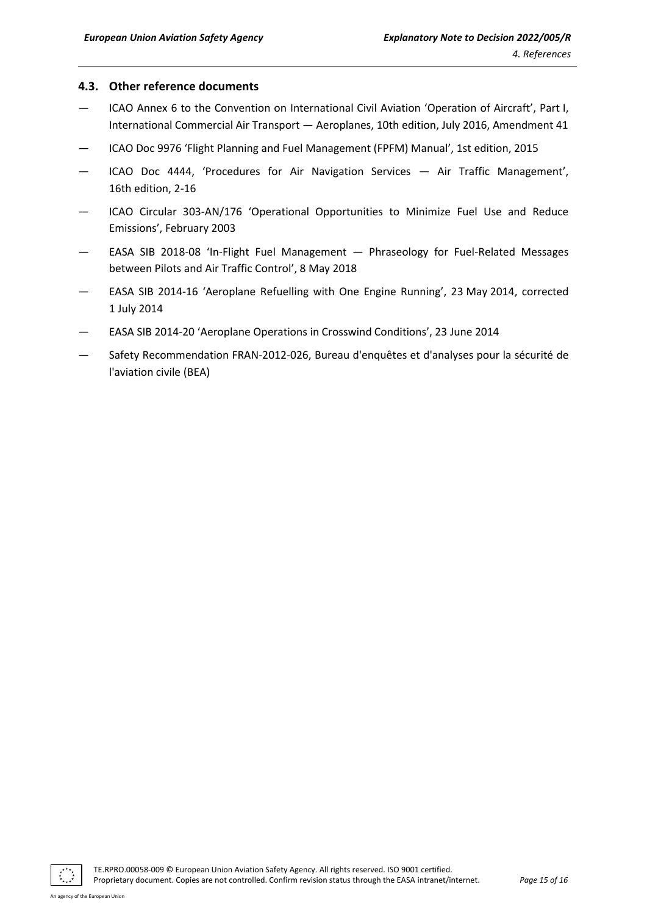#### <span id="page-14-0"></span>**4.3. Other reference documents**

- ICAO Annex 6 to the Convention on International Civil Aviation 'Operation of Aircraft', Part I, International Commercial Air Transport — Aeroplanes, 10th edition, July 2016, Amendment 41
- ICAO Doc 9976 'Flight Planning and Fuel Management (FPFM) Manual', 1st edition, 2015
- ICAO Doc 4444, 'Procedures for Air Navigation Services Air Traffic Management', 16th edition, 2-16
- ICAO Circular 303-AN/176 'Operational Opportunities to Minimize Fuel Use and Reduce Emissions', February 2003
- EASA SIB 2018-08 'In-Flight Fuel Management Phraseology for Fuel-Related Messages between Pilots and Air Traffic Control', 8 May 2018
- EASA SIB 2014-16 'Aeroplane Refuelling with One Engine Running', 23 May 2014, corrected 1 July 2014
- EASA SIB 2014-20 'Aeroplane Operations in Crosswind Conditions', 23 June 2014
- Safety Recommendation FRAN-2012-026, Bureau d'enquêtes et d'analyses pour la sécurité de l'aviation civile (BEA)